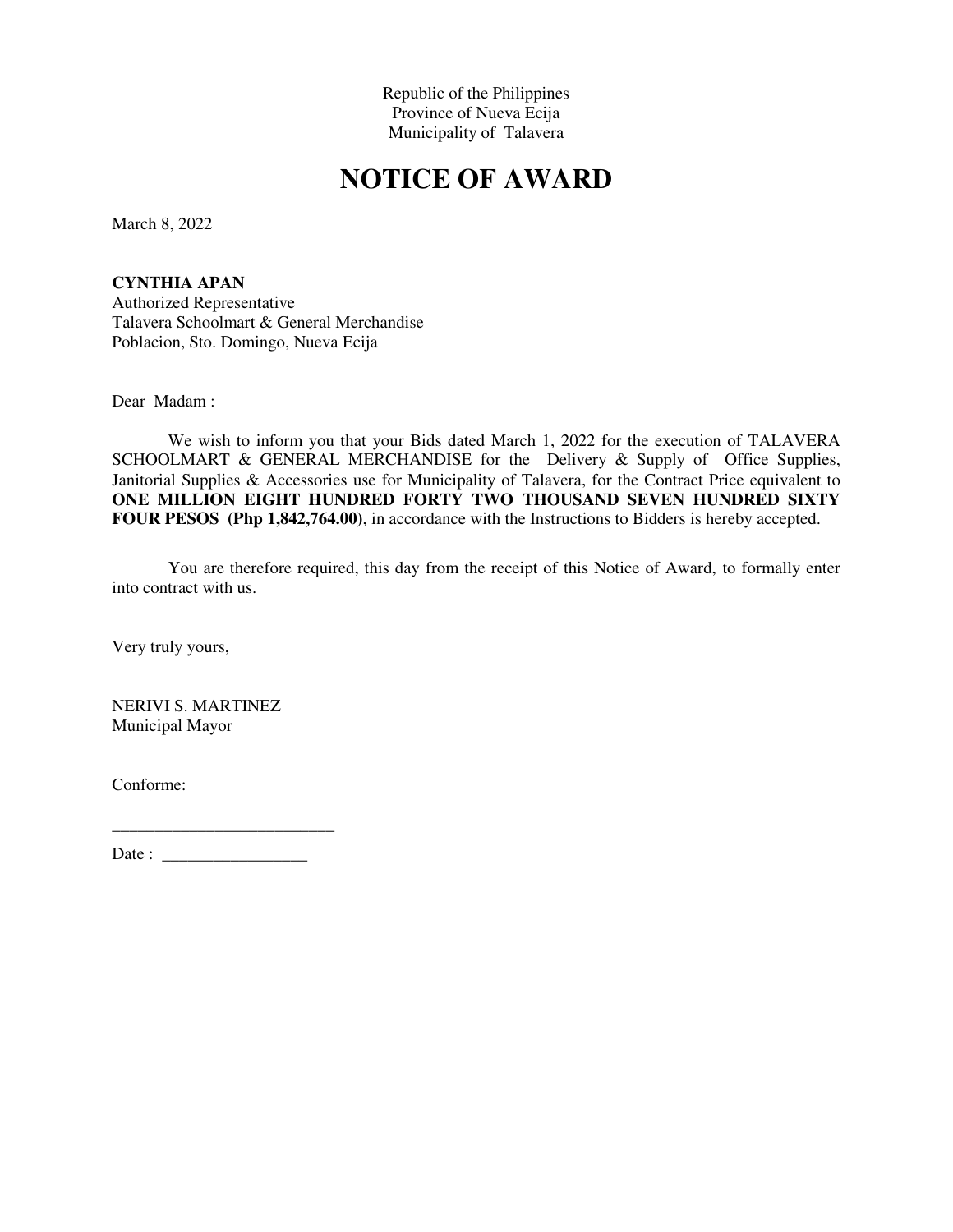## **NOTICE OF AWARD**

March 8, 2022

**CYNTHIA APAN**  Authorized Representative Talavera Schoolmart & General Merchandise Poblacion, Sto. Domingo, Nueva Ecija

Dear Madam :

We wish to inform you that your Bids dated March 1, 2022 for the execution of TALAVERA SCHOOLMART & GENERAL MERCHANDISE for the Delivery & Supply of Office Supplies, Janitorial Supplies & Accessories use for Municipality of Talavera, for the Contract Price equivalent to **ONE MILLION EIGHT HUNDRED FORTY TWO THOUSAND SEVEN HUNDRED SIXTY FOUR PESOS (Php 1,842,764.00)**, in accordance with the Instructions to Bidders is hereby accepted.

You are therefore required, this day from the receipt of this Notice of Award, to formally enter into contract with us.

Very truly yours,

NERIVI S. MARTINEZ Municipal Mayor

Conforme: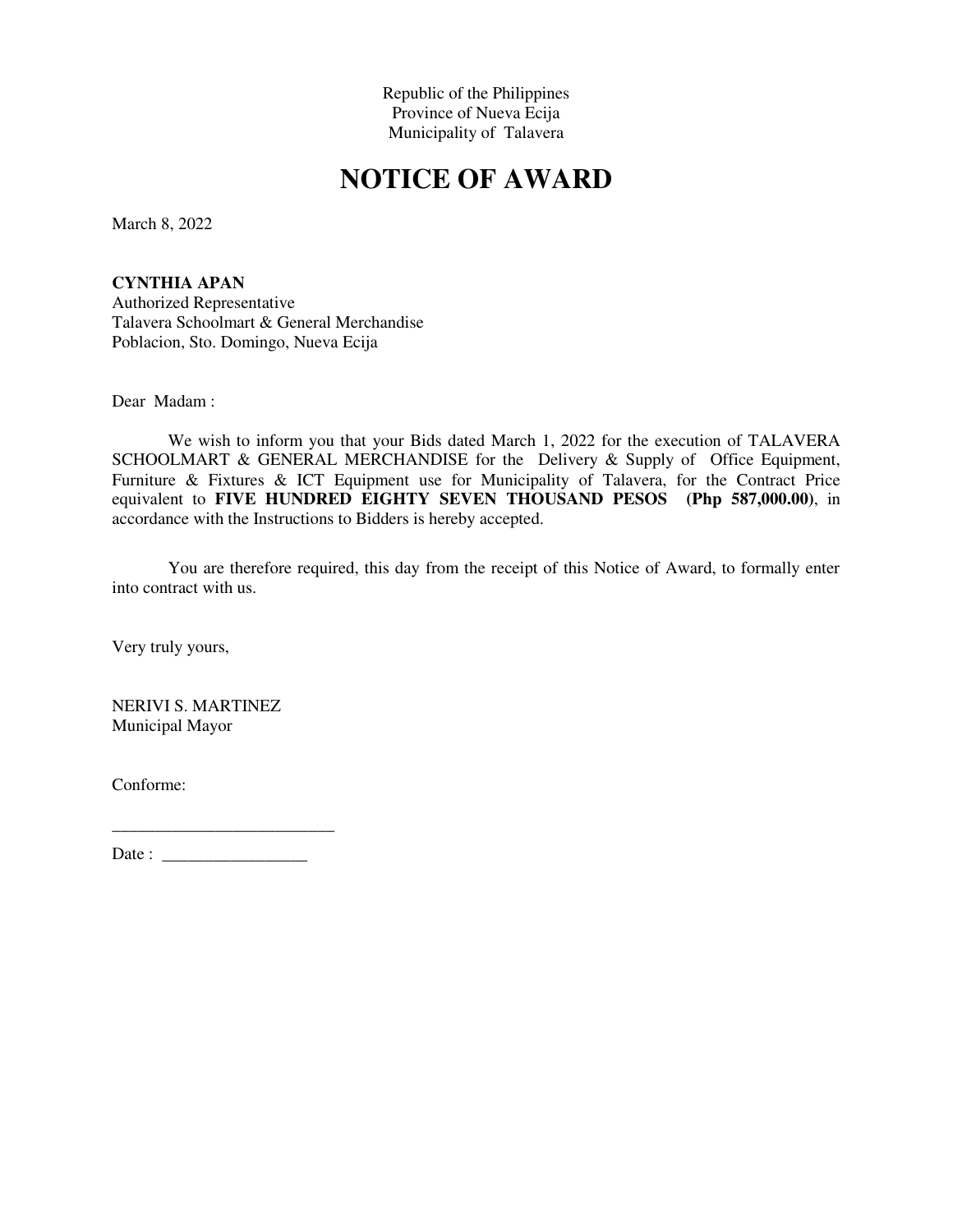## **NOTICE OF AWARD**

March 8, 2022

**CYNTHIA APAN**  Authorized Representative Talavera Schoolmart & General Merchandise Poblacion, Sto. Domingo, Nueva Ecija

Dear Madam :

We wish to inform you that your Bids dated March 1, 2022 for the execution of TALAVERA SCHOOLMART & GENERAL MERCHANDISE for the Delivery & Supply of Office Equipment, Furniture & Fixtures & ICT Equipment use for Municipality of Talavera, for the Contract Price equivalent to **FIVE HUNDRED EIGHTY SEVEN THOUSAND PESOS (Php 587,000.00)**, in accordance with the Instructions to Bidders is hereby accepted.

You are therefore required, this day from the receipt of this Notice of Award, to formally enter into contract with us.

Very truly yours,

NERIVI S. MARTINEZ Municipal Mayor

Conforme: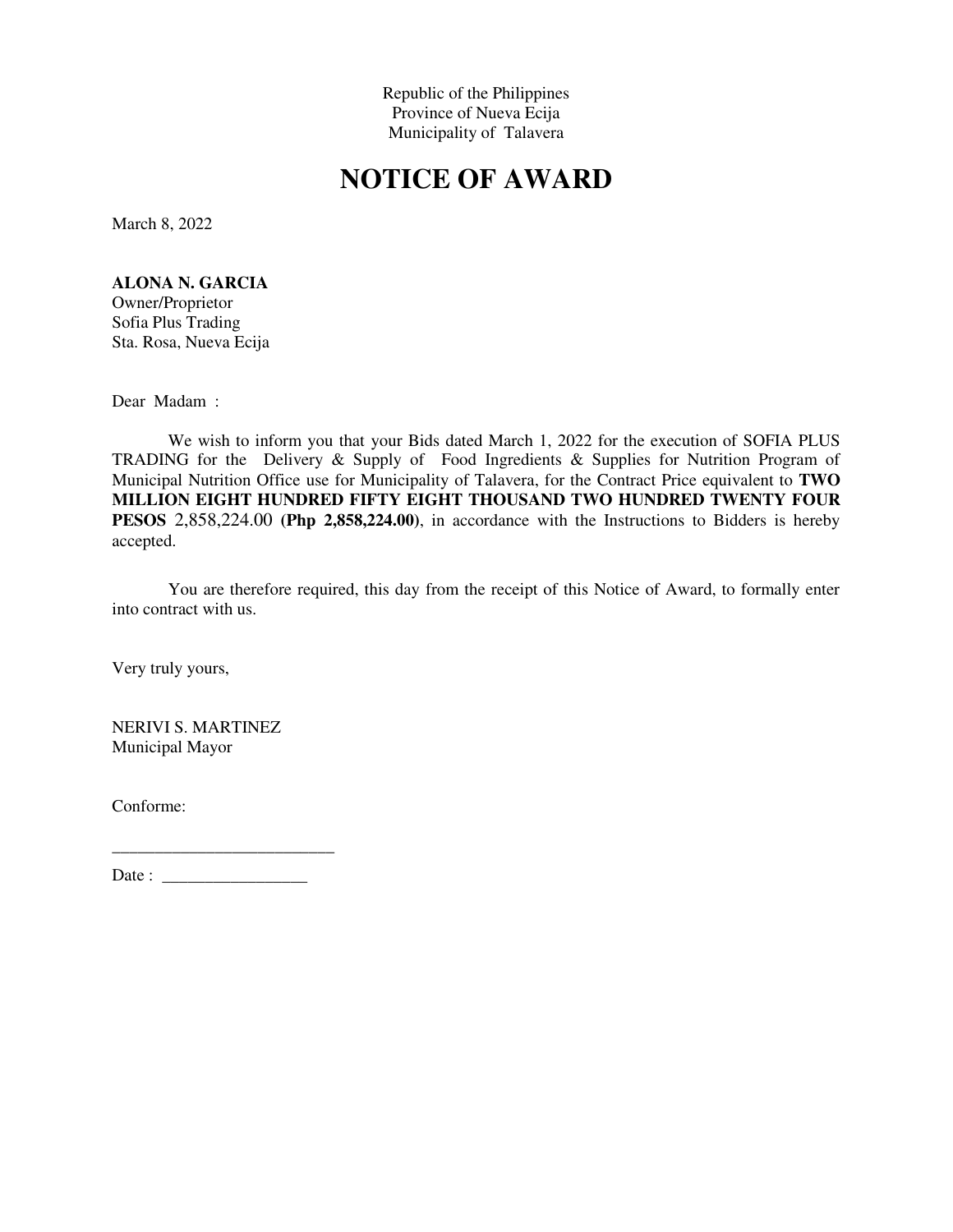## **NOTICE OF AWARD**

March 8, 2022

### **ALONA N. GARCIA**

Owner/Proprietor Sofia Plus Trading Sta. Rosa, Nueva Ecija

Dear Madam :

We wish to inform you that your Bids dated March 1, 2022 for the execution of SOFIA PLUS TRADING for the Delivery & Supply of Food Ingredients & Supplies for Nutrition Program of Municipal Nutrition Office use for Municipality of Talavera, for the Contract Price equivalent to **TWO MILLION EIGHT HUNDRED FIFTY EIGHT THOUSAND TWO HUNDRED TWENTY FOUR PESOS** 2,858,224.00 **(Php 2,858,224.00)**, in accordance with the Instructions to Bidders is hereby accepted.

You are therefore required, this day from the receipt of this Notice of Award, to formally enter into contract with us.

Very truly yours,

NERIVI S. MARTINEZ Municipal Mayor

Conforme:

Date : \_\_\_\_\_\_\_\_\_\_\_\_\_\_\_\_\_

\_\_\_\_\_\_\_\_\_\_\_\_\_\_\_\_\_\_\_\_\_\_\_\_\_\_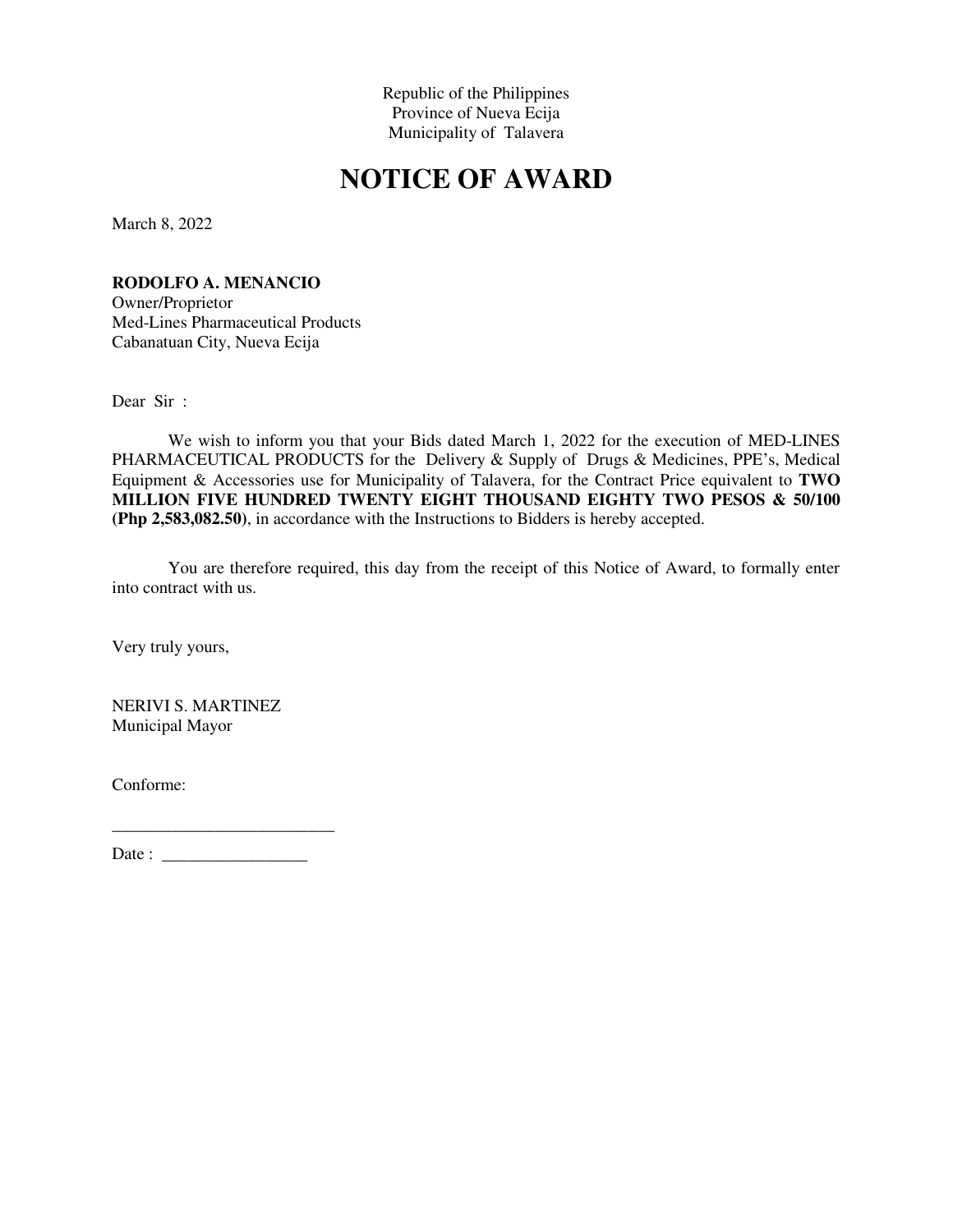# **NOTICE OF AWARD**

March 8, 2022

### **RODOLFO A. MENANCIO**

Owner/Proprietor Med-Lines Pharmaceutical Products Cabanatuan City, Nueva Ecija

Dear Sir :

We wish to inform you that your Bids dated March 1, 2022 for the execution of MED-LINES PHARMACEUTICAL PRODUCTS for the Delivery & Supply of Drugs & Medicines, PPE's, Medical Equipment & Accessories use for Municipality of Talavera, for the Contract Price equivalent to **TWO MILLION FIVE HUNDRED TWENTY EIGHT THOUSAND EIGHTY TWO PESOS & 50/100 (Php 2,583,082.50)**, in accordance with the Instructions to Bidders is hereby accepted.

You are therefore required, this day from the receipt of this Notice of Award, to formally enter into contract with us.

Very truly yours,

NERIVI S. MARTINEZ Municipal Mayor

Conforme: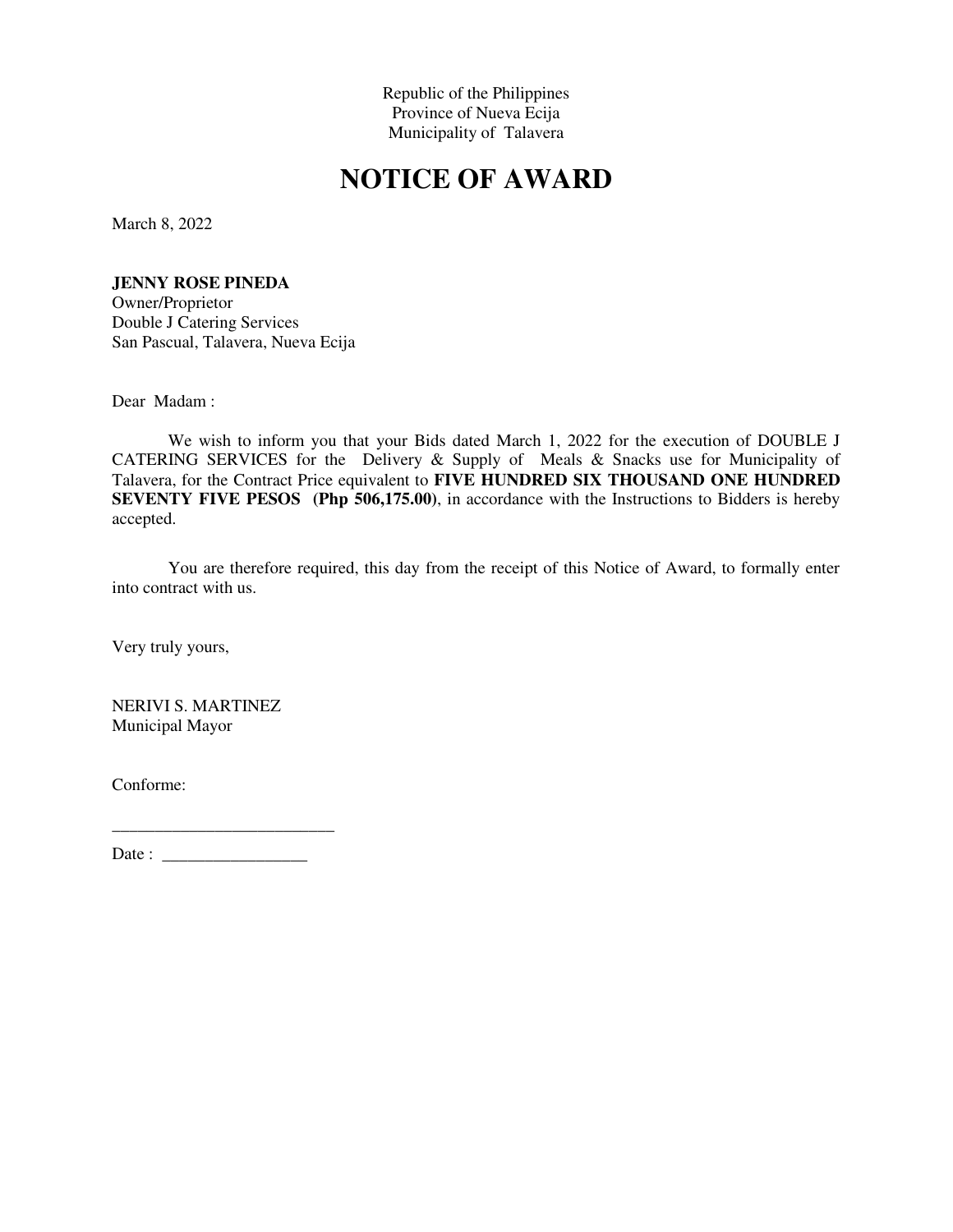## **NOTICE OF AWARD**

March 8, 2022

#### **JENNY ROSE PINEDA**

Owner/Proprietor Double J Catering Services San Pascual, Talavera, Nueva Ecija

Dear Madam :

We wish to inform you that your Bids dated March 1, 2022 for the execution of DOUBLE J CATERING SERVICES for the Delivery & Supply of Meals & Snacks use for Municipality of Talavera, for the Contract Price equivalent to **FIVE HUNDRED SIX THOUSAND ONE HUNDRED SEVENTY FIVE PESOS** (Php 506,175.00), in accordance with the Instructions to Bidders is hereby accepted.

You are therefore required, this day from the receipt of this Notice of Award, to formally enter into contract with us.

Very truly yours,

NERIVI S. MARTINEZ Municipal Mayor

Conforme: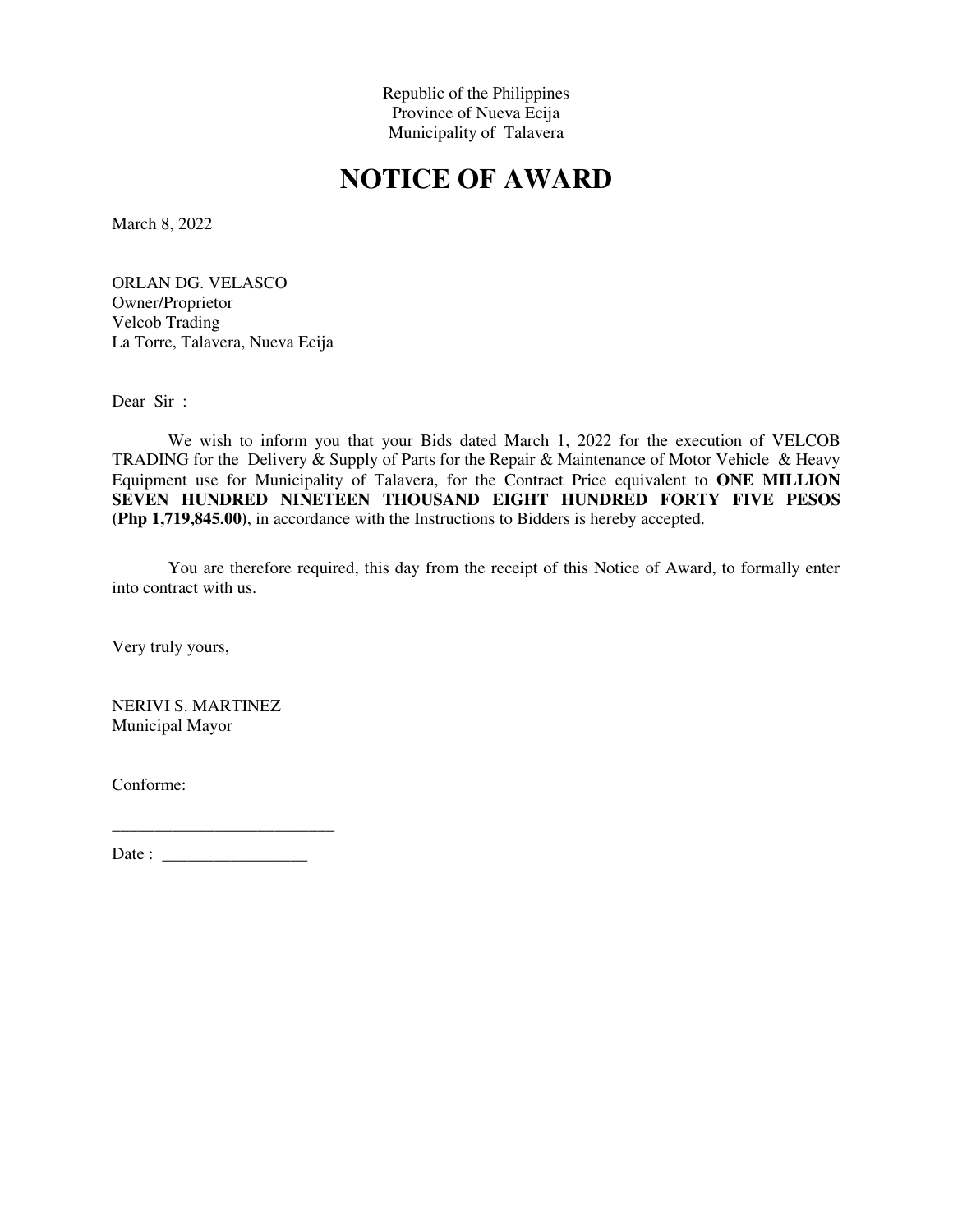## **NOTICE OF AWARD**

March 8, 2022

ORLAN DG. VELASCO Owner/Proprietor Velcob Trading La Torre, Talavera, Nueva Ecija

Dear Sir :

We wish to inform you that your Bids dated March 1, 2022 for the execution of VELCOB TRADING for the Delivery & Supply of Parts for the Repair & Maintenance of Motor Vehicle & Heavy Equipment use for Municipality of Talavera, for the Contract Price equivalent to **ONE MILLION SEVEN HUNDRED NINETEEN THOUSAND EIGHT HUNDRED FORTY FIVE PESOS (Php 1,719,845.00)**, in accordance with the Instructions to Bidders is hereby accepted.

You are therefore required, this day from the receipt of this Notice of Award, to formally enter into contract with us.

Very truly yours,

NERIVI S. MARTINEZ Municipal Mayor

Conforme: